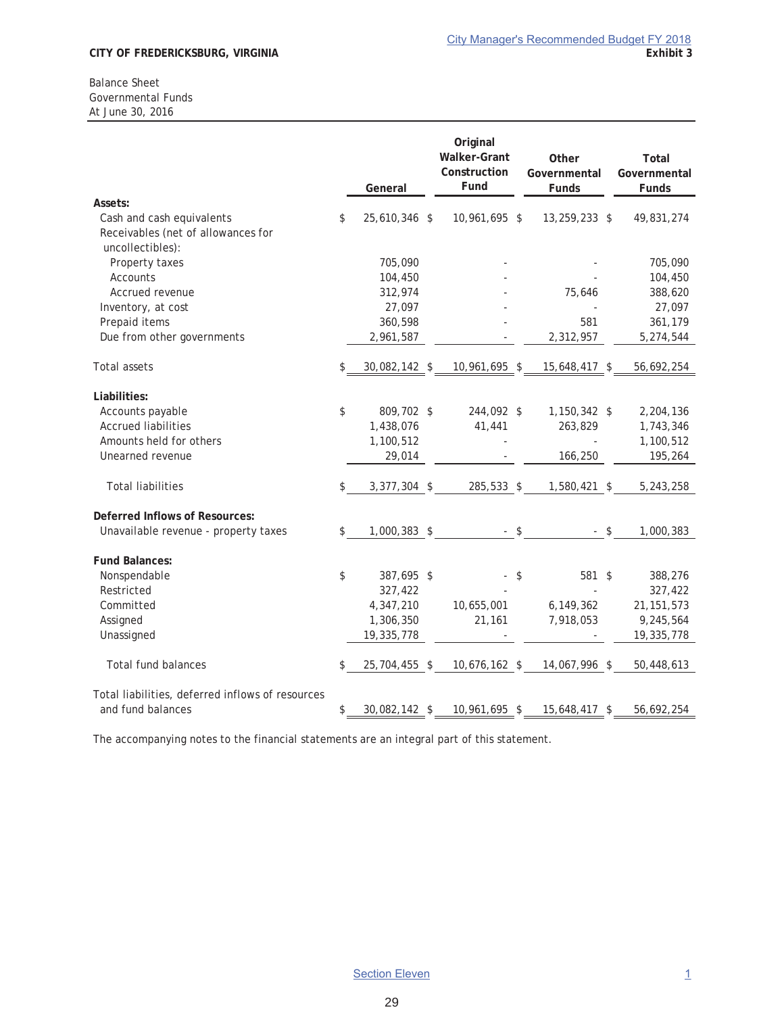#### Balance Sheet Governmental Funds At June 30, 2016

|                                                                                     | General             | Original<br><b>Walker-Grant</b><br>Construction<br>Fund | Other<br>Governmental<br>Funds | Total<br>Governmental<br>Funds |
|-------------------------------------------------------------------------------------|---------------------|---------------------------------------------------------|--------------------------------|--------------------------------|
| Assets:                                                                             |                     |                                                         |                                |                                |
| Cash and cash equivalents<br>Receivables (net of allowances for<br>uncollectibles): | \$<br>25,610,346 \$ | 10,961,695 \$                                           | 13,259,233 \$                  | 49,831,274                     |
| Property taxes                                                                      | 705,090             |                                                         |                                | 705,090                        |
| <b>Accounts</b>                                                                     | 104,450             |                                                         |                                | 104,450                        |
| Accrued revenue                                                                     | 312,974             |                                                         | 75,646                         | 388,620                        |
| Inventory, at cost                                                                  | 27,097              |                                                         |                                | 27,097                         |
| Prepaid items                                                                       | 360,598             |                                                         | 581                            | 361,179                        |
| Due from other governments                                                          | 2,961,587           |                                                         | 2,312,957                      | 5,274,544                      |
| <b>Total assets</b>                                                                 | 30,082,142 \$       | 10,961,695 \$                                           | 15,648,417 \$                  | 56,692,254                     |
| Liabilities:                                                                        |                     |                                                         |                                |                                |
| Accounts payable                                                                    | \$<br>809,702 \$    | 244,092 \$                                              | 1,150,342 \$                   | 2,204,136                      |
| <b>Accrued liabilities</b>                                                          | 1,438,076           | 41,441                                                  | 263,829                        | 1,743,346                      |
| Amounts held for others                                                             | 1,100,512           |                                                         |                                | 1,100,512                      |
| Unearned revenue                                                                    | 29,014              |                                                         | 166,250                        | 195,264                        |
| <b>Total liabilities</b>                                                            | \$<br>3,377,304 \$  | 285,533 \$                                              | 1,580,421 \$                   | 5,243,258                      |
| Deferred Inflows of Resources:                                                      |                     |                                                         |                                |                                |
| Unavailable revenue - property taxes                                                | \$<br>1,000,383 \$  | $-$ \$                                                  | $-$ \$                         | 1,000,383                      |
| <b>Fund Balances:</b>                                                               |                     |                                                         |                                |                                |
| Nonspendable                                                                        | \$<br>387,695 \$    |                                                         | \$<br>581 \$                   | 388,276                        |
| Restricted                                                                          | 327,422             |                                                         |                                | 327,422                        |
| Committed                                                                           | 4,347,210           | 10,655,001                                              | 6,149,362                      | 21, 151, 573                   |
| Assigned                                                                            | 1,306,350           | 21,161                                                  | 7,918,053                      | 9,245,564                      |
| Unassigned                                                                          | 19,335,778          |                                                         |                                | 19,335,778                     |
| <b>Total fund balances</b>                                                          | \$<br>25,704,455 \$ | 10,676,162 \$                                           | 14,067,996 \$                  | 50,448,613                     |
| Total liabilities, deferred inflows of resources                                    |                     |                                                         |                                |                                |
| and fund balances                                                                   | \$<br>30,082,142 \$ | 10,961,695 \$                                           | 15,648,417 \$                  | 56,692,254                     |

The accompanying notes to the financial statements are an integral part of this statement.

29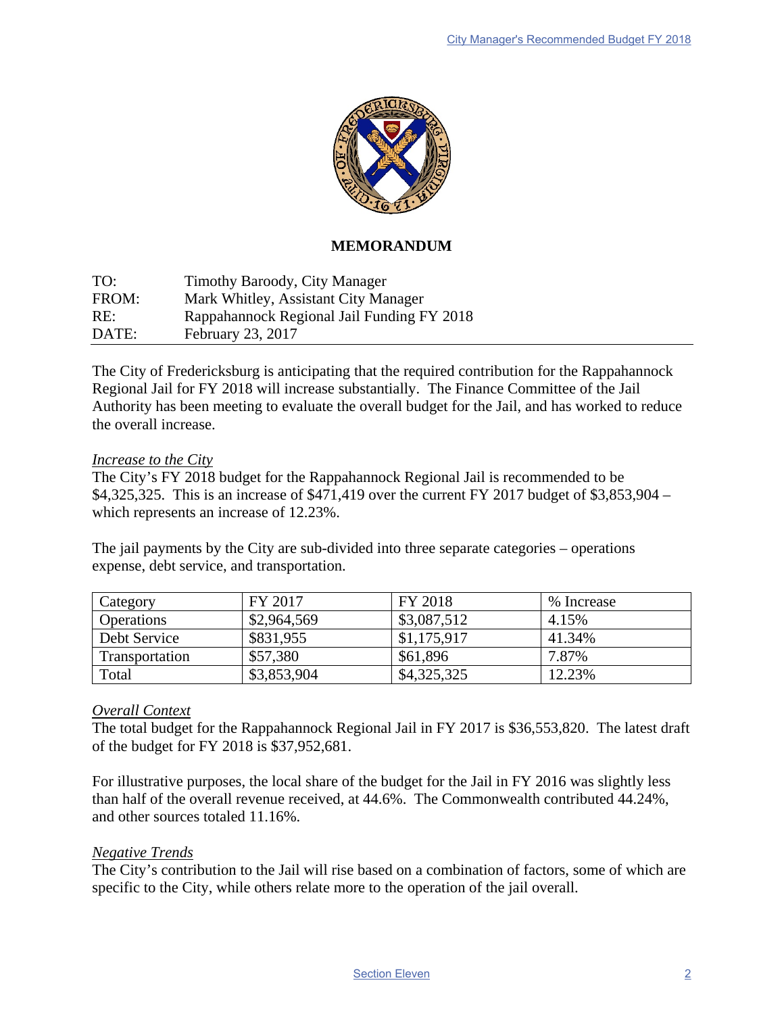

## **MEMORANDUM**

TO: Timothy Baroody, City Manager FROM: Mark Whitley, Assistant City Manager RE: Rappahannock Regional Jail Funding FY 2018 DATE: February 23, 2017

The City of Fredericksburg is anticipating that the required contribution for the Rappahannock Regional Jail for FY 2018 will increase substantially. The Finance Committee of the Jail Authority has been meeting to evaluate the overall budget for the Jail, and has worked to reduce the overall increase.

## *Increase to the City*

The City's FY 2018 budget for the Rappahannock Regional Jail is recommended to be \$4,325,325. This is an increase of \$471,419 over the current FY 2017 budget of \$3,853,904 – which represents an increase of 12.23%.

The jail payments by the City are sub-divided into three separate categories – operations expense, debt service, and transportation.

| Category          | FY 2017     | FY 2018     | % Increase |
|-------------------|-------------|-------------|------------|
| <b>Operations</b> | \$2,964,569 | \$3,087,512 | 4.15%      |
| Debt Service      | \$831,955   | \$1,175,917 | 41.34%     |
| Transportation    | \$57,380    | \$61,896    | 7.87%      |
| Total             | \$3,853,904 | \$4,325,325 | 12.23%     |

## *Overall Context*

The total budget for the Rappahannock Regional Jail in FY 2017 is \$36,553,820. The latest draft of the budget for FY 2018 is \$37,952,681.

For illustrative purposes, the local share of the budget for the Jail in FY 2016 was slightly less than half of the overall revenue received, at 44.6%. The Commonwealth contributed 44.24%, and other sources totaled 11.16%.

## *Negative Trends*

The City's contribution to the Jail will rise based on a combination of factors, some of which are specific to the City, while others relate more to the operation of the jail overall.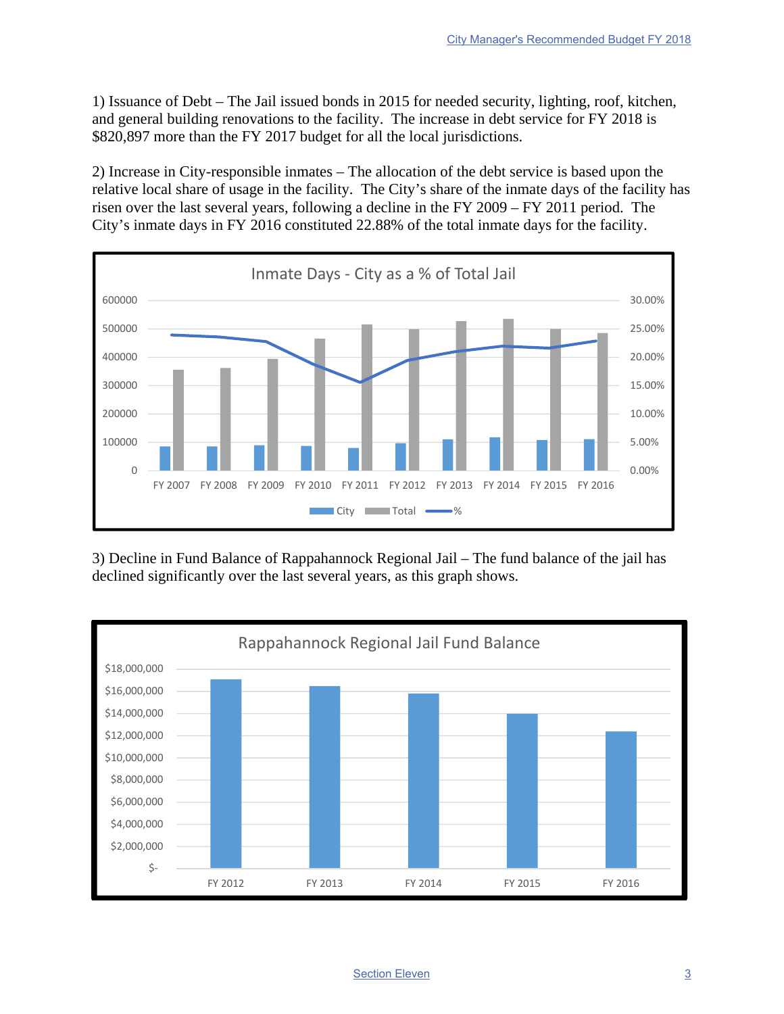1) Issuance of Debt – The Jail issued bonds in 2015 for needed security, lighting, roof, kitchen, and general building renovations to the facility. The increase in debt service for FY 2018 is \$820,897 more than the FY 2017 budget for all the local jurisdictions.

2) Increase in City-responsible inmates – The allocation of the debt service is based upon the relative local share of usage in the facility. The City's share of the inmate days of the facility has risen over the last several years, following a decline in the FY 2009 – FY 2011 period. The City's inmate days in FY 2016 constituted 22.88% of the total inmate days for the facility.



3) Decline in Fund Balance of Rappahannock Regional Jail – The fund balance of the jail has declined significantly over the last several years, as this graph shows.



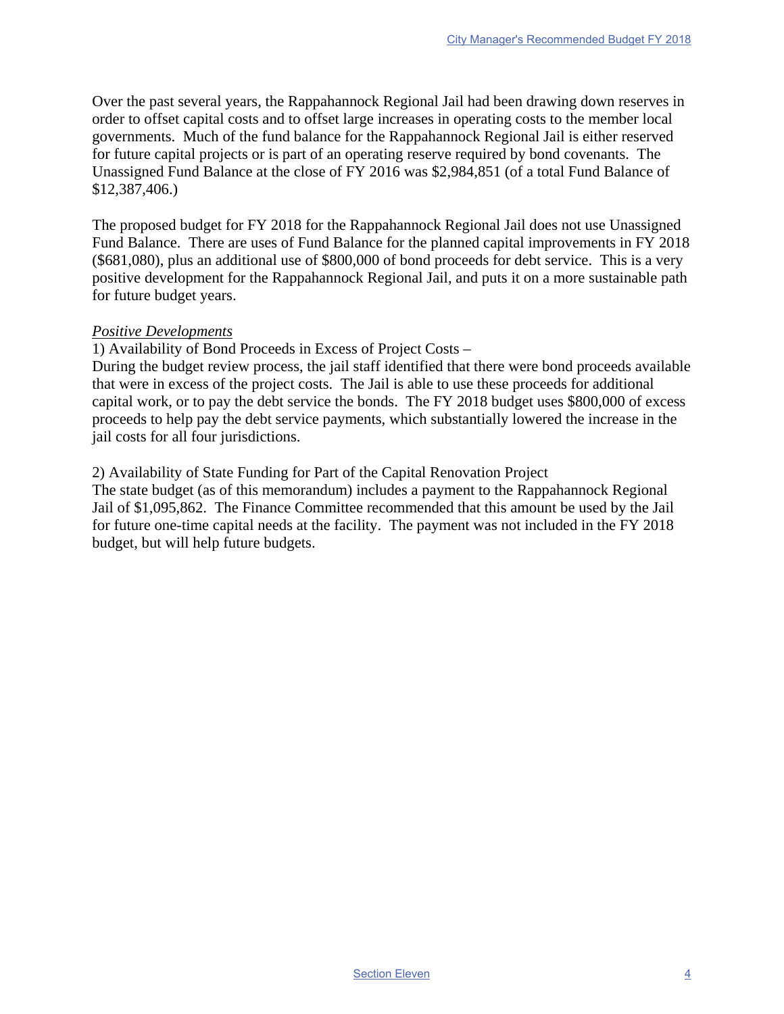Over the past several years, the Rappahannock Regional Jail had been drawing down reserves in order to offset capital costs and to offset large increases in operating costs to the member local governments. Much of the fund balance for the Rappahannock Regional Jail is either reserved for future capital projects or is part of an operating reserve required by bond covenants. The Unassigned Fund Balance at the close of FY 2016 was \$2,984,851 (of a total Fund Balance of \$12,387,406.)

The proposed budget for FY 2018 for the Rappahannock Regional Jail does not use Unassigned Fund Balance. There are uses of Fund Balance for the planned capital improvements in FY 2018 (\$681,080), plus an additional use of \$800,000 of bond proceeds for debt service. This is a very positive development for the Rappahannock Regional Jail, and puts it on a more sustainable path for future budget years.

## *Positive Developments*

1) Availability of Bond Proceeds in Excess of Project Costs –

During the budget review process, the jail staff identified that there were bond proceeds available that were in excess of the project costs. The Jail is able to use these proceeds for additional capital work, or to pay the debt service the bonds. The FY 2018 budget uses \$800,000 of excess proceeds to help pay the debt service payments, which substantially lowered the increase in the jail costs for all four jurisdictions.

2) Availability of State Funding for Part of the Capital Renovation Project

The state budget (as of this memorandum) includes a payment to the Rappahannock Regional Jail of \$1,095,862. The Finance Committee recommended that this amount be used by the Jail for future one-time capital needs at the facility. The payment was not included in the FY 2018 budget, but will help future budgets.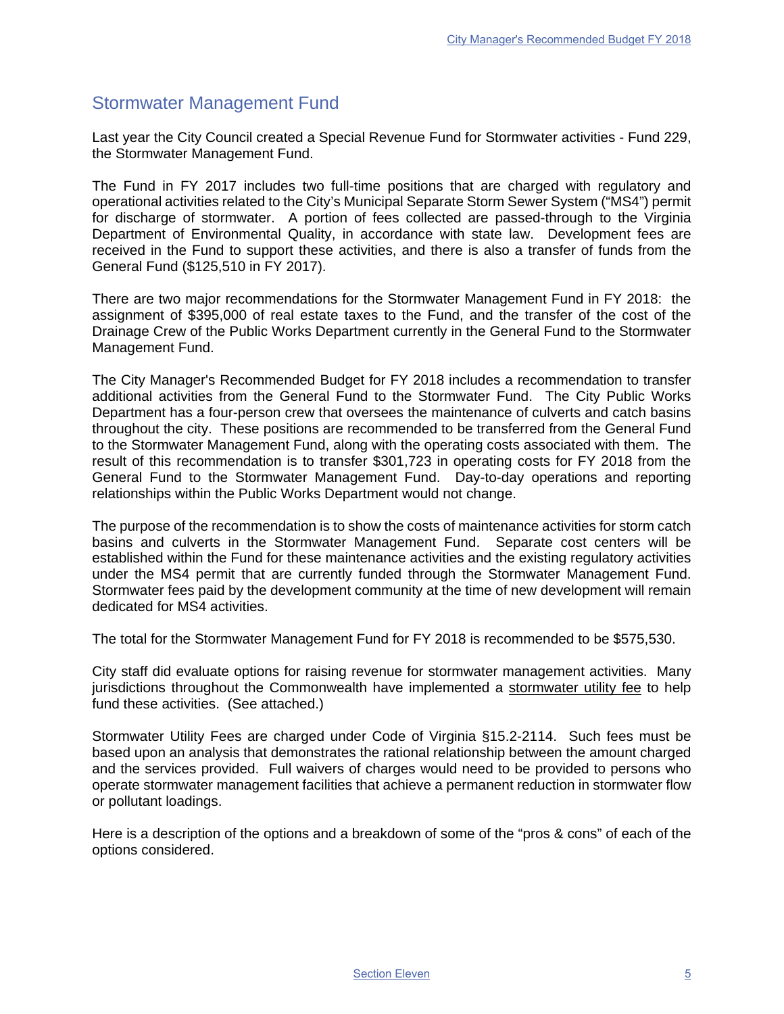## Stormwater Management Fund

Last year the City Council created a Special Revenue Fund for Stormwater activities - Fund 229, the Stormwater Management Fund.

The Fund in FY 2017 includes two full-time positions that are charged with regulatory and operational activities related to the City's Municipal Separate Storm Sewer System ("MS4") permit for discharge of stormwater. A portion of fees collected are passed-through to the Virginia Department of Environmental Quality, in accordance with state law. Development fees are received in the Fund to support these activities, and there is also a transfer of funds from the General Fund (\$125,510 in FY 2017).

There are two major recommendations for the Stormwater Management Fund in FY 2018: the assignment of \$395,000 of real estate taxes to the Fund, and the transfer of the cost of the Drainage Crew of the Public Works Department currently in the General Fund to the Stormwater Management Fund.

The City Manager's Recommended Budget for FY 2018 includes a recommendation to transfer additional activities from the General Fund to the Stormwater Fund. The City Public Works Department has a four-person crew that oversees the maintenance of culverts and catch basins throughout the city. These positions are recommended to be transferred from the General Fund to the Stormwater Management Fund, along with the operating costs associated with them. The result of this recommendation is to transfer \$301,723 in operating costs for FY 2018 from the General Fund to the Stormwater Management Fund. Day-to-day operations and reporting relationships within the Public Works Department would not change.

The purpose of the recommendation is to show the costs of maintenance activities for storm catch basins and culverts in the Stormwater Management Fund. Separate cost centers will be established within the Fund for these maintenance activities and the existing regulatory activities under the MS4 permit that are currently funded through the Stormwater Management Fund. Stormwater fees paid by the development community at the time of new development will remain dedicated for MS4 activities.

The total for the Stormwater Management Fund for FY 2018 is recommended to be \$575,530.

City staff did evaluate options for raising revenue for stormwater management activities. Many jurisdictions throughout the Commonwealth have implemented a stormwater utility fee to help fund these activities. (See attached.)

Stormwater Utility Fees are charged under Code of Virginia §15.2-2114. Such fees must be based upon an analysis that demonstrates the rational relationship between the amount charged and the services provided. Full waivers of charges would need to be provided to persons who operate stormwater management facilities that achieve a permanent reduction in stormwater flow or pollutant loadings.

Here is a description of the options and a breakdown of some of the "pros & cons" of each of the options considered.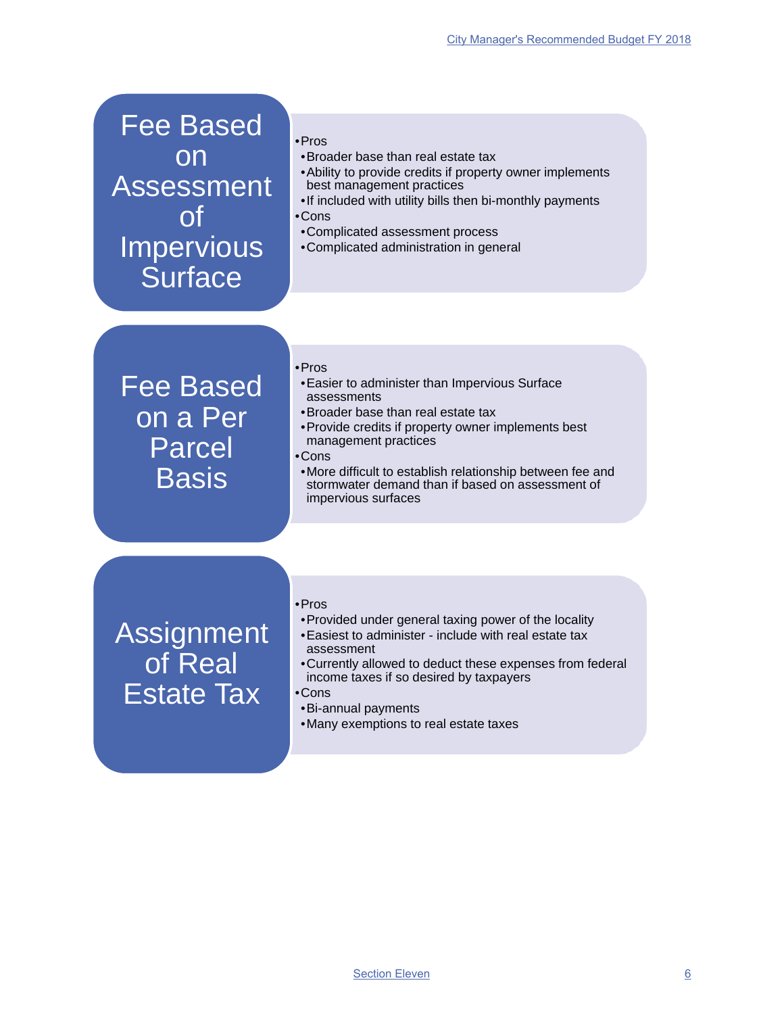Fee Based on Assessment of Impervious **Surface** 

- •Pros
- •Broader base than real estate tax
- •Ability to provide credits if property owner implements best management practices
- •If included with utility bills then bi-monthly payments
- •Cons
- •Complicated assessment process
- •Complicated administration in general

## Fee Based on a Per Parcel **Basis**

- •Pros
- •Easier to administer than Impervious Surface assessments
- •Broader base than real estate tax
- •Provide credits if property owner implements best management practices
- •Cons
- •More difficult to establish relationship between fee and stormwater demand than if based on assessment of impervious surfaces

**Assignment** of Real Estate Tax

#### •Pros

- •Provided under general taxing power of the locality
- •Easiest to administer include with real estate tax assessment
- •Currently allowed to deduct these expenses from federal income taxes if so desired by taxpayers

### •Cons

- •Bi-annual payments
- •Many exemptions to real estate taxes